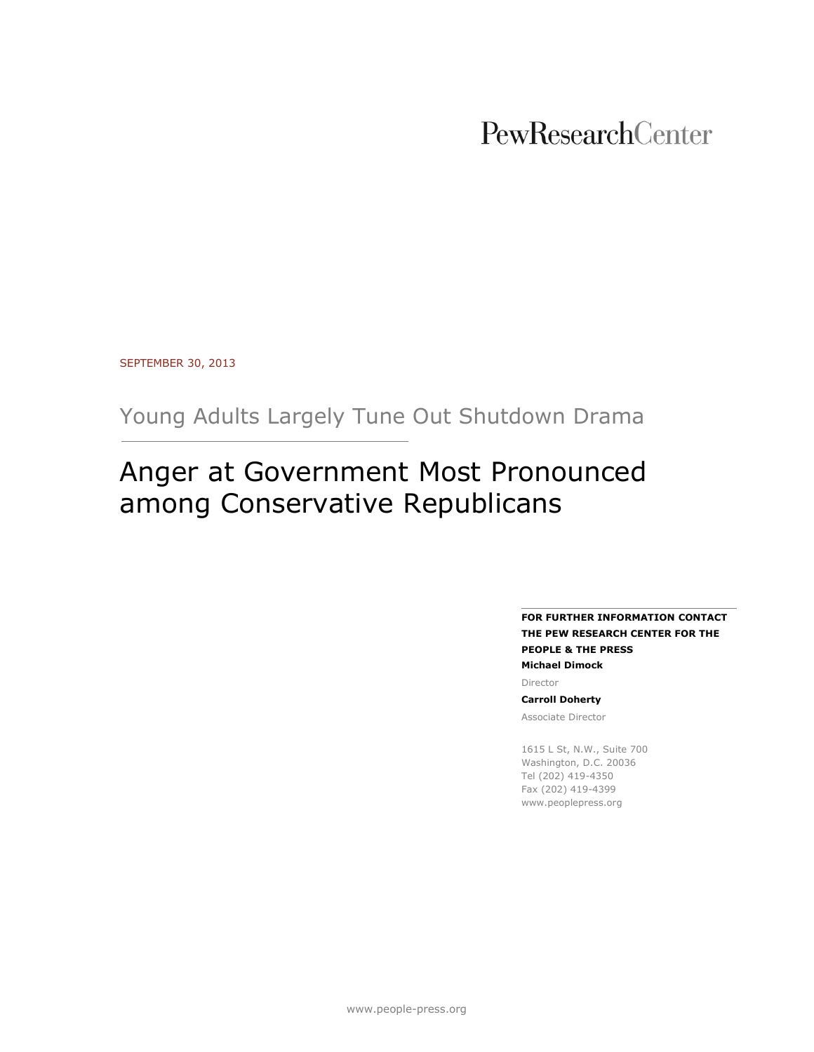# PewResearchCenter

SEPTEMBER 30, 2013

Young Adults Largely Tune Out Shutdown Drama

# Anger at Government Most Pronounced among Conservative Republicans

**FOR FURTHER INFORMATION CONTACT THE PEW RESEARCH CENTER FOR THE PEOPLE & THE PRESS Michael Dimock**

Director

**Carroll Doherty**

Associate Director

1615 L St, N.W., Suite 700 Washington, D.C. 20036 Tel (202) 419-4350 Fax (202) 419-4399 www.peoplepress.org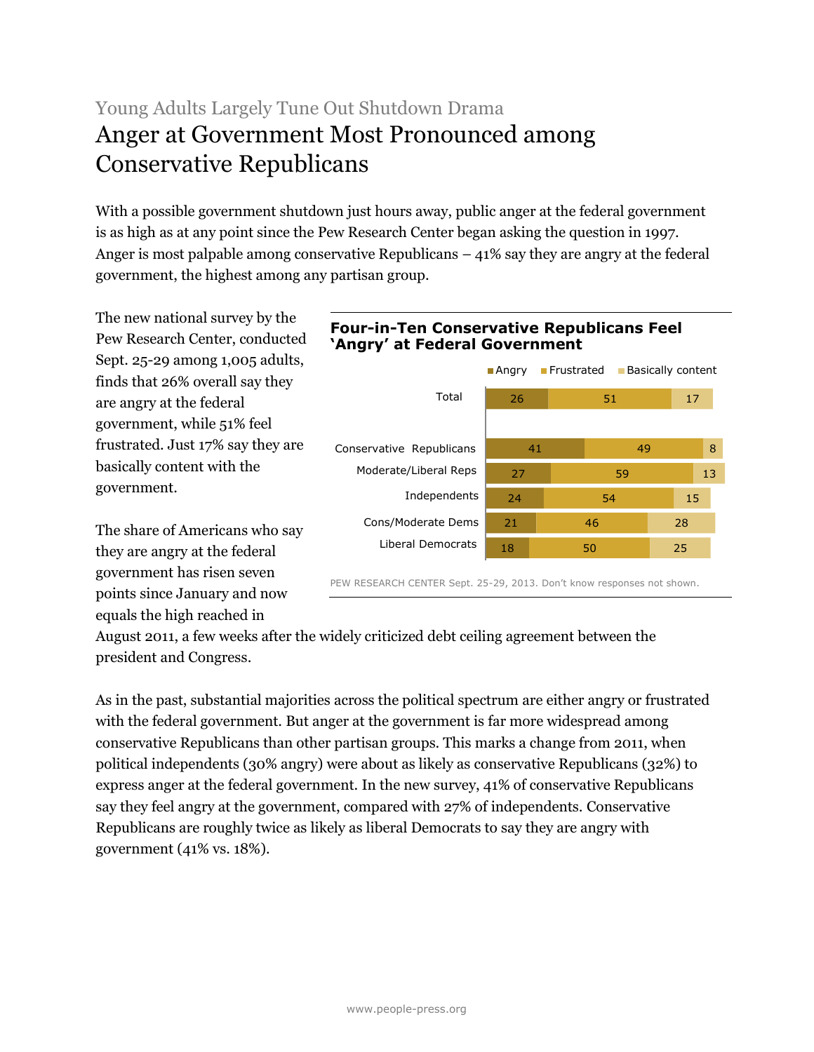# Young Adults Largely Tune Out Shutdown Drama Anger at Government Most Pronounced among Conservative Republicans

With a possible government shutdown just hours away, public anger at the federal government is as high as at any point since the Pew Research Center began asking the question in 1997. Anger is most palpable among conservative Republicans – 41% say they are angry at the federal government, the highest among any partisan group.

The new national survey by the Pew Research Center, conducted Sept. 25-29 among 1,005 adults, finds that 26% overall say they are angry at the federal government, while 51% feel frustrated. Just 17% say they are basically content with the government.

The share of Americans who say they are angry at the federal government has risen seven points since January and now equals the high reached in

# **Four-in-Ten Conservative Republicans Feel 'Angry' at Federal Government**



August 2011, a few weeks after the widely criticized debt ceiling agreement between the president and Congress.

As in the past, substantial majorities across the political spectrum are either angry or frustrated with the federal government. But anger at the government is far more widespread among conservative Republicans than other partisan groups. This marks a change from 2011, when political independents (30% angry) were about as likely as conservative Republicans (32%) to express anger at the federal government. In the new survey, 41% of conservative Republicans say they feel angry at the government, compared with 27% of independents. Conservative Republicans are roughly twice as likely as liberal Democrats to say they are angry with government (41% vs. 18%).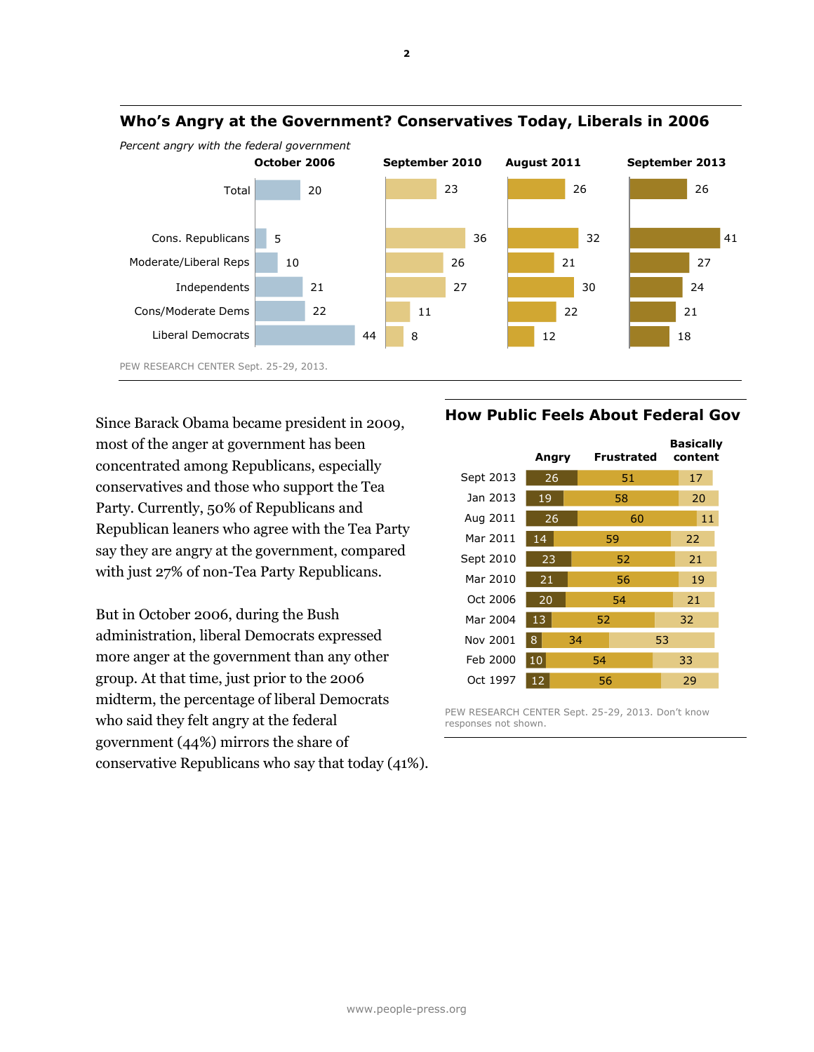

## **Who's Angry at the Government? Conservatives Today, Liberals in 2006**

*Percent angry with the federal government*

Since Barack Obama became president in 2009, most of the anger at government has been concentrated among Republicans, especially conservatives and those who support the Tea Party. Currently, 50% of Republicans and Republican leaners who agree with the Tea Party say they are angry at the government, compared with just 27% of non-Tea Party Republicans.

But in October 2006, during the Bush administration, liberal Democrats expressed more anger at the government than any other group. At that time, just prior to the 2006 midterm, the percentage of liberal Democrats who said they felt angry at the federal government (44%) mirrors the share of conservative Republicans who say that today (41%).

## **How Public Feels About Federal Gov**

|           | Angry |    | Frustrated |    | <b>Basically</b><br>content |  |
|-----------|-------|----|------------|----|-----------------------------|--|
| Sept 2013 | 26    |    | 51         |    | 17                          |  |
| Jan 2013  | 19    |    | 58         |    | 20                          |  |
| Aug 2011  | 26    |    | 60         |    | 11                          |  |
| Mar 2011  | 14    |    | 59         |    | 22                          |  |
| Sept 2010 | 23    |    | 52         |    | 21                          |  |
| Mar 2010  | 21    |    | 56         |    | 19                          |  |
| Oct 2006  | 20    |    | 54         |    | 21                          |  |
| Mar 2004  | 13    | 52 |            |    | 32                          |  |
| Nov 2001  | 8     | 34 |            | 53 |                             |  |
| Feb 2000  | 10    | 54 |            |    | 33                          |  |
| Oct 1997  | 12    | 56 |            |    | 29                          |  |

PEW RESEARCH CENTER Sept. 25-29, 2013. Don't know responses not shown.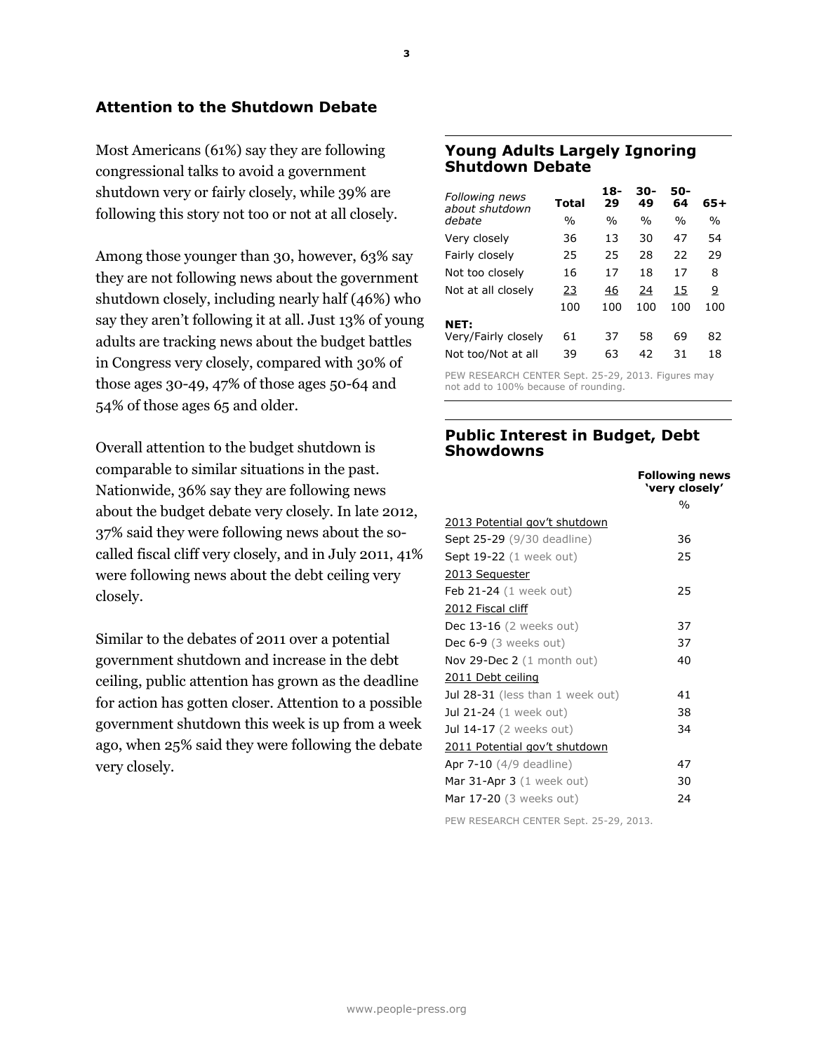# **Attention to the Shutdown Debate**

Most Americans (61%) say they are following congressional talks to avoid a government shutdown very or fairly closely, while 39% are following this story not too or not at all closely.

Among those younger than 30, however, 63% say they are not following news about the government shutdown closely, including nearly half (46%) who say they aren't following it at all. Just 13% of young adults are tracking news about the budget battles in Congress very closely, compared with 30% of those ages 30-49, 47% of those ages 50-64 and 54% of those ages 65 and older.

Overall attention to the budget shutdown is comparable to similar situations in the past. Nationwide, 36% say they are following news about the budget debate very closely. In late 2012, 37% said they were following news about the socalled fiscal cliff very closely, and in July 2011, 41% were following news about the debt ceiling very closely.

Similar to the debates of 2011 over a potential government shutdown and increase in the debt ceiling, public attention has grown as the deadline for action has gotten closer. Attention to a possible government shutdown this week is up from a week ago, when 25% said they were following the debate very closely.

### **Young Adults Largely Ignoring Shutdown Debate**

| Total         | 18-<br>29     | 30-<br>49     | 50-<br>64     | 65+           |
|---------------|---------------|---------------|---------------|---------------|
| $\frac{0}{0}$ | $\frac{0}{0}$ | $\frac{0}{0}$ | $\frac{0}{0}$ | $\frac{0}{0}$ |
| 36            | 13            | 30            | 47            | 54            |
| 25            | 25            | 28            | 22            | 29            |
| 16            | 17            | 18            | 17            | 8             |
| 23            | 46            | 24            | 15            | <u>9</u>      |
| 100           | 100           | 100           | 100           | 100           |
|               |               |               |               |               |
| 61            | 37            | 58            | 69            | 82            |
| 39            | 63            | 42            | 31            | 18            |
|               |               |               |               |               |

PEW RESEARCH CENTER Sept. 25-29, 2013. Figures may not add to 100% because of rounding.

## **Public Interest in Budget, Debt Showdowns**

|                                        | <b>Following news</b><br>'very closely' |
|----------------------------------------|-----------------------------------------|
|                                        | $\frac{0}{0}$                           |
| 2013 Potential gov't shutdown          |                                         |
| <b>Sept 25-29</b> (9/30 deadline)      | 36                                      |
| <b>Sept 19-22</b> (1 week out)         | 25                                      |
| 2013 Sequester                         |                                         |
| Feb $21-24$ (1 week out)               | 25                                      |
| 2012 Fiscal cliff                      |                                         |
| Dec 13-16 (2 weeks out)                | 37                                      |
| Dec $6-9$ (3 weeks out)                | 37                                      |
| Nov 29-Dec $2(1 \text{ month out})$    | 40                                      |
| 2011 Debt ceiling                      |                                         |
| Jul 28-31 (less than 1 week out)       | 41                                      |
| <b>Jul 21-24</b> (1 week out)          | 38                                      |
| <b>Jul 14-17</b> (2 weeks out)         | 34                                      |
| 2011 Potential gov't shutdown          |                                         |
| <b>Apr 7-10</b> $(4/9$ deadline)       | 47                                      |
| Mar $31$ -Apr $3$ (1 week out)         | 30                                      |
| Mar 17-20 (3 weeks out)                | 24                                      |
| PEW RESEARCH CENTER Sept. 25-29, 2013. |                                         |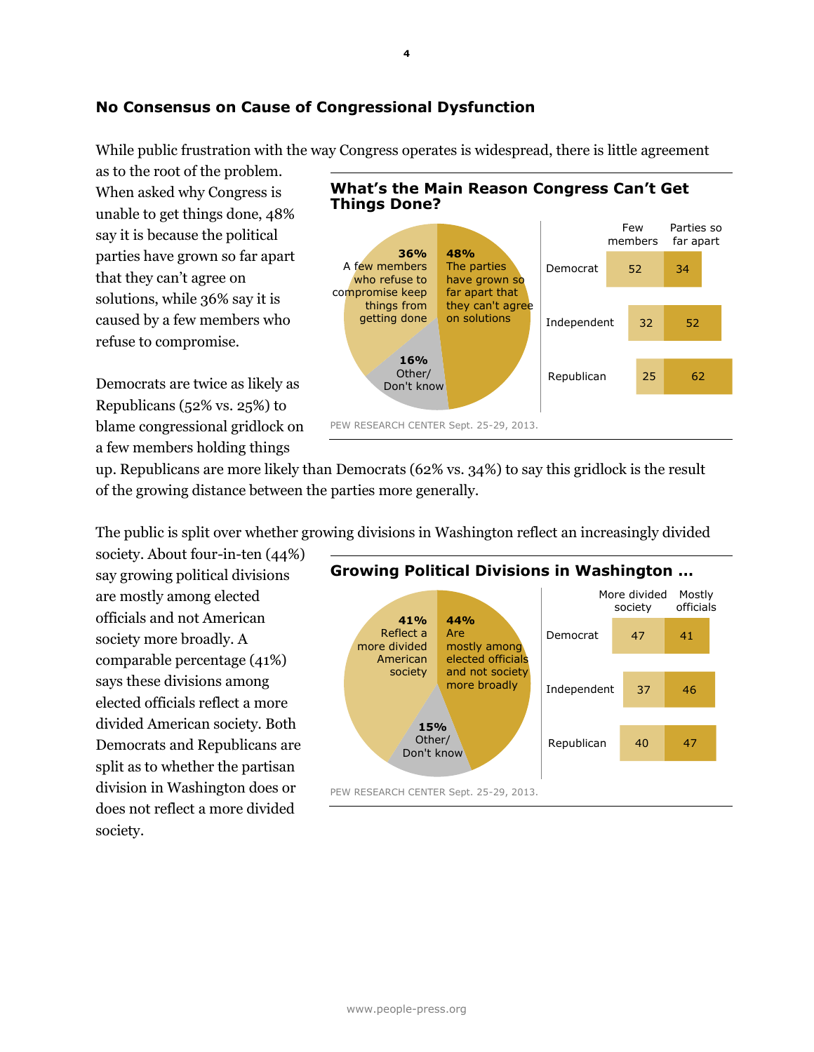# **No Consensus on Cause of Congressional Dysfunction**

While public frustration with the way Congress operates is widespread, there is little agreement

as to the root of the problem. When asked why Congress is unable to get things done, 48% say it is because the political parties have grown so far apart that they can't agree on solutions, while 36% say it is caused by a few members who refuse to compromise.

Democrats are twice as likely as Republicans (52% vs. 25%) to blame congressional gridlock on a few members holding things





up. Republicans are more likely than Democrats (62% vs. 34%) to say this gridlock is the result of the growing distance between the parties more generally.

The public is split over whether growing divisions in Washington reflect an increasingly divided

society. About four-in-ten (44%) say growing political divisions are mostly among elected officials and not American society more broadly. A comparable percentage (41%) says these divisions among elected officials reflect a more divided American society. Both Democrats and Republicans are split as to whether the partisan division in Washington does or does not reflect a more divided society.

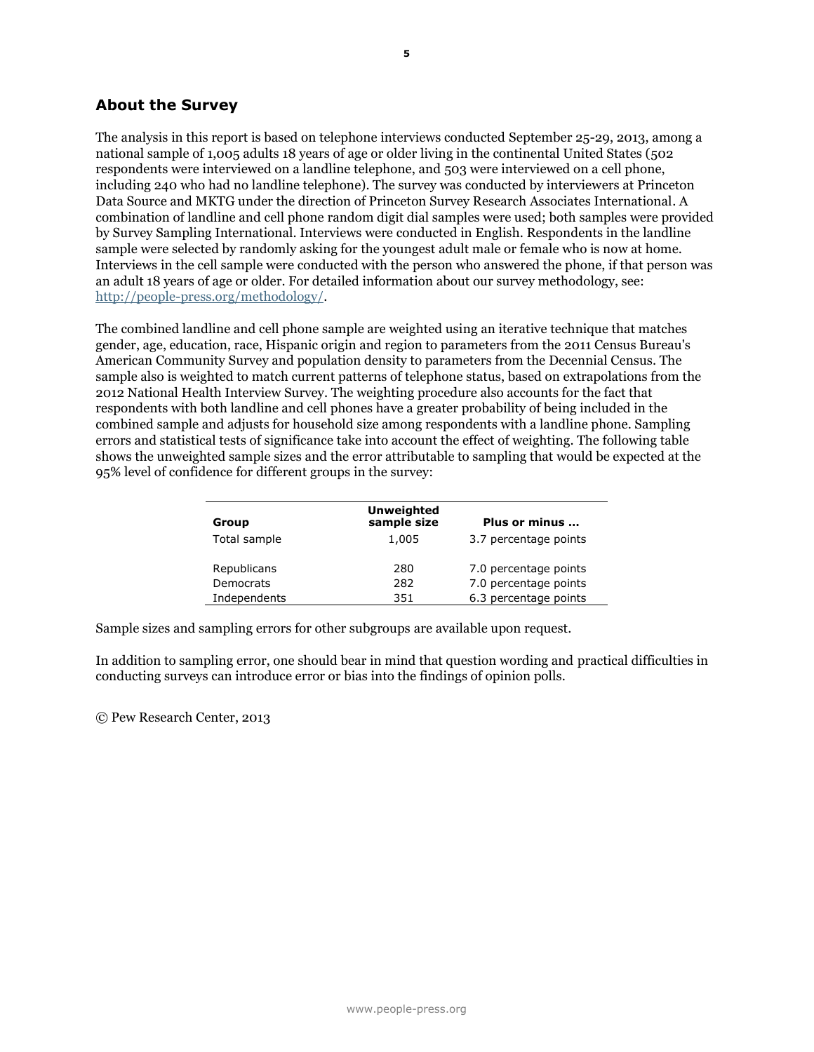## **About the Survey**

The analysis in this report is based on telephone interviews conducted September 25-29, 2013, among a national sample of 1,005 adults 18 years of age or older living in the continental United States (502 respondents were interviewed on a landline telephone, and 503 were interviewed on a cell phone, including 240 who had no landline telephone). The survey was conducted by interviewers at Princeton Data Source and MKTG under the direction of Princeton Survey Research Associates International. A combination of landline and cell phone random digit dial samples were used; both samples were provided by Survey Sampling International. Interviews were conducted in English. Respondents in the landline sample were selected by randomly asking for the youngest adult male or female who is now at home. Interviews in the cell sample were conducted with the person who answered the phone, if that person was an adult 18 years of age or older. For detailed information about our survey methodology, see: [http://people-press.org/methodology/.](http://people-press.org/methodology/)

The combined landline and cell phone sample are weighted using an iterative technique that matches gender, age, education, race, Hispanic origin and region to parameters from the 2011 Census Bureau's American Community Survey and population density to parameters from the Decennial Census. The sample also is weighted to match current patterns of telephone status, based on extrapolations from the 2012 National Health Interview Survey. The weighting procedure also accounts for the fact that respondents with both landline and cell phones have a greater probability of being included in the combined sample and adjusts for household size among respondents with a landline phone. Sampling errors and statistical tests of significance take into account the effect of weighting. The following table shows the unweighted sample sizes and the error attributable to sampling that would be expected at the 95% level of confidence for different groups in the survey:

| Group        | <b>Unweighted</b><br>sample size | Plus or minus         |
|--------------|----------------------------------|-----------------------|
| Total sample | 1,005                            | 3.7 percentage points |
| Republicans  | 280                              | 7.0 percentage points |
| Democrats    | 282                              | 7.0 percentage points |
| Independents | 351                              | 6.3 percentage points |

Sample sizes and sampling errors for other subgroups are available upon request.

In addition to sampling error, one should bear in mind that question wording and practical difficulties in conducting surveys can introduce error or bias into the findings of opinion polls.

© Pew Research Center, 2013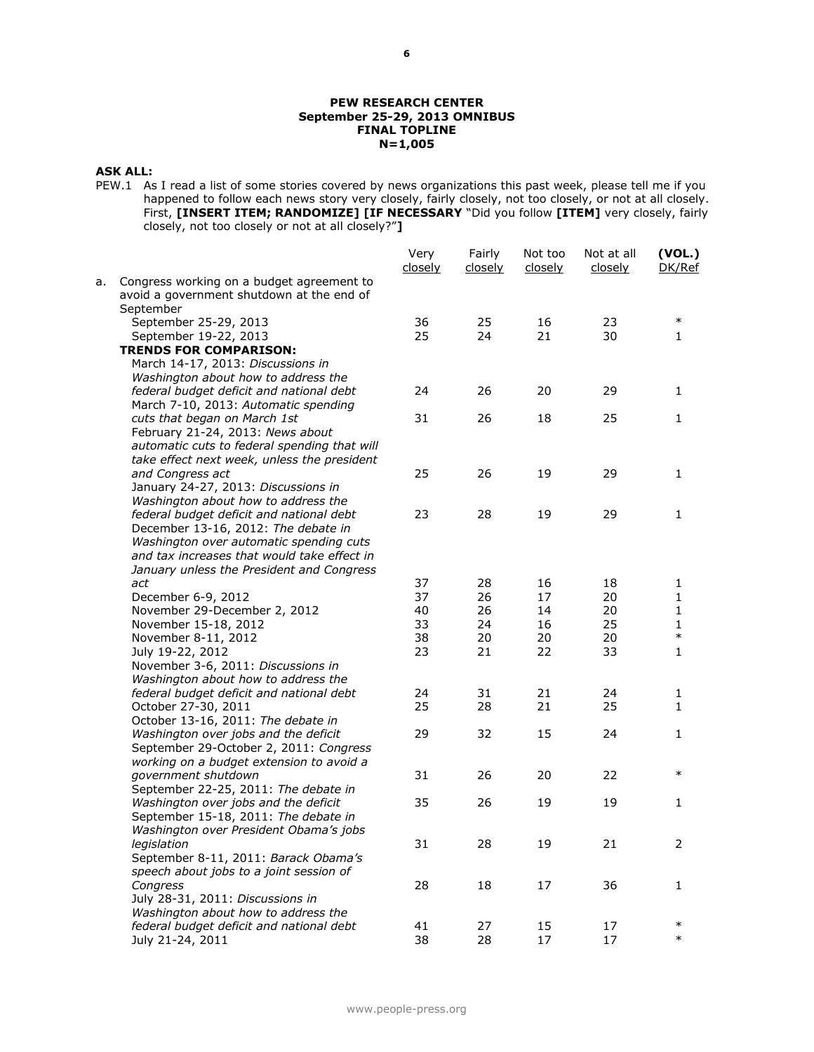#### **PEW RESEARCH CENTER September 25-29, 2013 OMNIBUS FINAL TOPLINE N=1,005**

#### **ASK ALL:**

PEW.1 As I read a list of some stories covered by news organizations this past week, please tell me if you happened to follow each news story very closely, fairly closely, not too closely, or not at all closely. First, **[INSERT ITEM; RANDOMIZE] [IF NECESSARY** "Did you follow **[ITEM]** very closely, fairly closely, not too closely or not at all closely?"**]**

|    |                                                                                        | Very<br>closely | Fairly<br>closely | Not too<br>closely | Not at all<br><u>closely</u> | (VOL.)<br>DK/Ref |
|----|----------------------------------------------------------------------------------------|-----------------|-------------------|--------------------|------------------------------|------------------|
| а. | Congress working on a budget agreement to<br>avoid a government shutdown at the end of |                 |                   |                    |                              |                  |
|    | September                                                                              |                 |                   |                    |                              |                  |
|    | September 25-29, 2013                                                                  | 36              | 25                | 16                 | 23                           | $\ast$           |
|    | September 19-22, 2013                                                                  | 25              | 24                | 21                 | 30                           | 1                |
|    | <b>TRENDS FOR COMPARISON:</b>                                                          |                 |                   |                    |                              |                  |
|    | March 14-17, 2013: Discussions in                                                      |                 |                   |                    |                              |                  |
|    | Washington about how to address the                                                    |                 |                   |                    |                              |                  |
|    | federal budget deficit and national debt                                               | 24              | 26                | 20                 | 29                           | 1                |
|    | March 7-10, 2013: Automatic spending                                                   |                 |                   |                    |                              |                  |
|    | cuts that began on March 1st                                                           | 31              | 26                | 18                 | 25                           | 1                |
|    | February 21-24, 2013: News about                                                       |                 |                   |                    |                              |                  |
|    | automatic cuts to federal spending that will                                           |                 |                   |                    |                              |                  |
|    | take effect next week, unless the president                                            |                 |                   |                    |                              |                  |
|    | and Congress act                                                                       | 25              | 26                | 19                 | 29                           | 1                |
|    | January 24-27, 2013: Discussions in                                                    |                 |                   |                    |                              |                  |
|    | Washington about how to address the                                                    |                 |                   |                    |                              |                  |
|    | federal budget deficit and national debt                                               | 23              | 28                | 19                 | 29                           | 1                |
|    | December 13-16, 2012: The debate in                                                    |                 |                   |                    |                              |                  |
|    | Washington over automatic spending cuts                                                |                 |                   |                    |                              |                  |
|    | and tax increases that would take effect in                                            |                 |                   |                    |                              |                  |
|    | January unless the President and Congress                                              |                 |                   |                    |                              |                  |
|    | act                                                                                    | 37              | 28                | 16                 | 18                           | 1                |
|    | December 6-9, 2012                                                                     | 37              | 26                | 17                 | 20                           | 1                |
|    | November 29-December 2, 2012                                                           | 40              | 26                | 14                 | 20                           | 1                |
|    | November 15-18, 2012                                                                   | 33              | 24                | 16                 | 25                           | 1                |
|    | November 8-11, 2012                                                                    | 38              | 20                | 20                 | 20                           | $\ast$           |
|    | July 19-22, 2012                                                                       | 23              | 21                | 22                 | 33                           | $\mathbf{1}$     |
|    | November 3-6, 2011: Discussions in                                                     |                 |                   |                    |                              |                  |
|    | Washington about how to address the                                                    |                 |                   |                    |                              |                  |
|    | federal budget deficit and national debt                                               | 24              | 31                | 21                 | 24                           | 1                |
|    | October 27-30, 2011                                                                    | 25              | 28                | 21                 | 25                           | $\mathbf{1}$     |
|    | October 13-16, 2011: The debate in                                                     |                 |                   |                    |                              |                  |
|    | Washington over jobs and the deficit                                                   | 29              | 32                | 15                 | 24                           | 1                |
|    | September 29-October 2, 2011: Congress                                                 |                 |                   |                    |                              |                  |
|    | working on a budget extension to avoid a                                               |                 |                   |                    |                              |                  |
|    | government shutdown                                                                    | 31              | 26                | 20                 | 22                           | $\ast$           |
|    | September 22-25, 2011: The debate in                                                   |                 |                   |                    |                              |                  |
|    | Washington over jobs and the deficit                                                   | 35              | 26                | 19                 | 19                           | 1                |
|    | September 15-18, 2011: The debate in                                                   |                 |                   |                    |                              |                  |
|    | Washington over President Obama's jobs                                                 |                 |                   |                    |                              |                  |
|    | legislation                                                                            | 31              | 28                | 19                 | 21                           | 2                |
|    | September 8-11, 2011: Barack Obama's                                                   |                 |                   |                    |                              |                  |
|    | speech about jobs to a joint session of                                                |                 |                   |                    |                              |                  |
|    | Congress                                                                               | 28              | 18                | 17                 | 36                           | 1                |
|    | July 28-31, 2011: Discussions in                                                       |                 |                   |                    |                              |                  |
|    | Washington about how to address the                                                    |                 |                   |                    |                              |                  |
|    | federal budget deficit and national debt                                               | 41              | 27                | 15                 | 17                           | $\ast$           |
|    | July 21-24, 2011                                                                       | 38              | 28                | 17                 | 17                           | $\ast$           |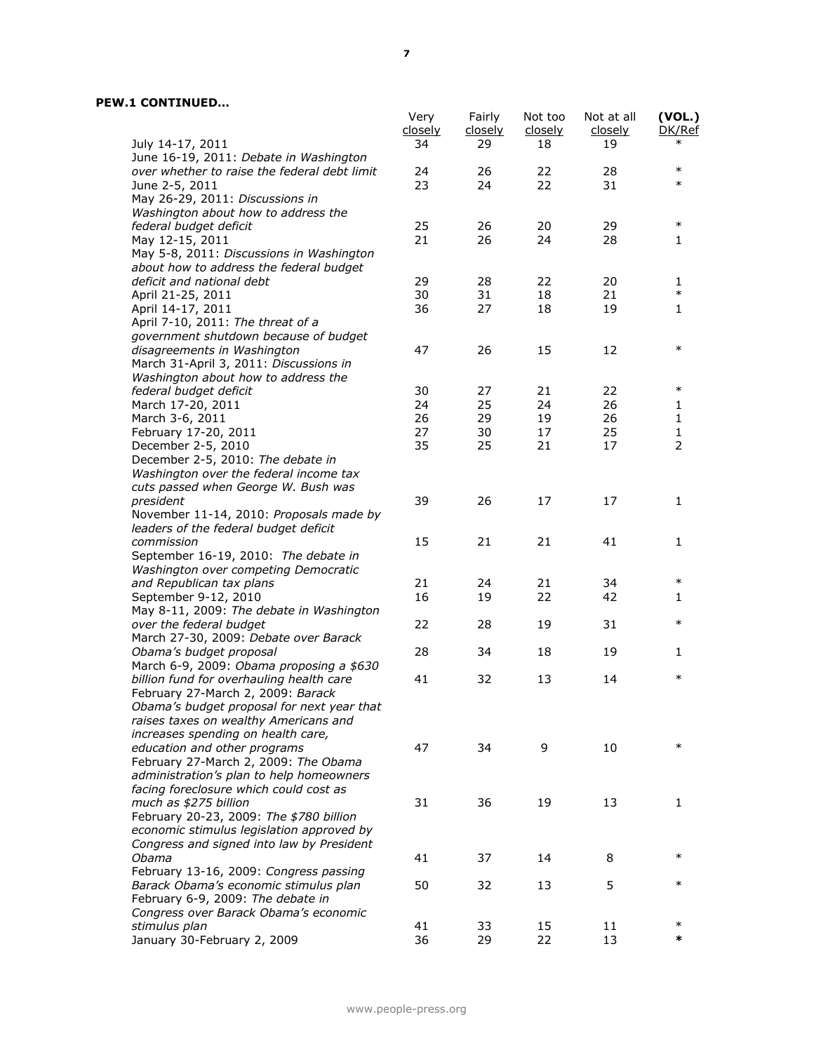|                                                                                      | Very<br>closely | Fairly<br>closely | Not too<br>closely | Not at all<br>closely | (VOL.)<br>DK/Ref |
|--------------------------------------------------------------------------------------|-----------------|-------------------|--------------------|-----------------------|------------------|
| July 14-17, 2011<br>June 16-19, 2011: Debate in Washington                           | 34              | 29                | 18                 | 19                    | $\ast$           |
| over whether to raise the federal debt limit                                         | 24              | 26                | 22                 | 28                    | $\ast$           |
| June 2-5, 2011                                                                       | 23              | 24                | 22                 | 31                    | $\ast$           |
| May 26-29, 2011: Discussions in                                                      |                 |                   |                    |                       |                  |
| Washington about how to address the                                                  |                 |                   |                    |                       |                  |
| federal budget deficit                                                               | 25              | 26                | 20                 | 29                    | $\ast$           |
| May 12-15, 2011                                                                      | 21              | 26                | 24                 | 28                    | 1                |
| May 5-8, 2011: Discussions in Washington                                             |                 |                   |                    |                       |                  |
| about how to address the federal budget                                              | 29              | 28                | 22                 | 20                    |                  |
| deficit and national debt<br>April 21-25, 2011                                       | 30              | 31                | 18                 | 21                    | 1<br>$\ast$      |
| April 14-17, 2011                                                                    | 36              | 27                | 18                 | 19                    | 1                |
| April 7-10, 2011: The threat of a                                                    |                 |                   |                    |                       |                  |
| government shutdown because of budget                                                |                 |                   |                    |                       |                  |
| disagreements in Washington                                                          | 47              | 26                | 15                 | 12                    | $\ast$           |
| March 31-April 3, 2011: Discussions in                                               |                 |                   |                    |                       |                  |
| Washington about how to address the                                                  |                 |                   |                    |                       |                  |
| federal budget deficit                                                               | 30              | 27                | 21                 | 22                    | $\ast$           |
| March 17-20, 2011                                                                    | 24              | 25                | 24                 | 26                    | 1                |
| March 3-6, 2011                                                                      | 26              | 29                | 19                 | 26                    | 1                |
| February 17-20, 2011                                                                 | 27              | 30                | 17                 | 25                    | 1                |
| December 2-5, 2010                                                                   | 35              | 25                | 21                 | 17                    | $\overline{2}$   |
| December 2-5, 2010: The debate in                                                    |                 |                   |                    |                       |                  |
| Washington over the federal income tax                                               |                 |                   |                    |                       |                  |
| cuts passed when George W. Bush was                                                  |                 |                   |                    |                       |                  |
| president                                                                            | 39              | 26                | 17                 | 17                    | 1                |
| November 11-14, 2010: Proposals made by                                              |                 |                   |                    |                       |                  |
| leaders of the federal budget deficit                                                |                 |                   |                    |                       |                  |
| commission<br>September 16-19, 2010: The debate in                                   | 15              | 21                | 21                 | 41                    | $\mathbf{1}$     |
| Washington over competing Democratic                                                 |                 |                   |                    |                       |                  |
| and Republican tax plans                                                             | 21              | 24                | 21                 | 34                    | $\ast$           |
| September 9-12, 2010                                                                 | 16              | 19                | 22                 | 42                    | 1                |
| May 8-11, 2009: The debate in Washington                                             |                 |                   |                    |                       |                  |
| over the federal budget                                                              | 22              | 28                | 19                 | 31                    | $\ast$           |
| March 27-30, 2009: Debate over Barack                                                |                 |                   |                    |                       |                  |
| Obama's budget proposal                                                              | 28              | 34                | 18                 | 19                    | 1                |
| March 6-9, 2009: Obama proposing a \$630                                             |                 |                   |                    |                       |                  |
| billion fund for overhauling health care                                             | 41              | 32                | 13                 | 14                    | $\ast$           |
| February 27-March 2, 2009: Barack                                                    |                 |                   |                    |                       |                  |
| Obama's budget proposal for next year that                                           |                 |                   |                    |                       |                  |
| raises taxes on wealthy Americans and                                                |                 |                   |                    |                       |                  |
| increases spending on health care,                                                   |                 |                   |                    |                       |                  |
| education and other programs                                                         | 47              | 34                | 9                  | 10                    | $\ast$           |
| February 27-March 2, 2009: The Obama                                                 |                 |                   |                    |                       |                  |
| administration's plan to help homeowners                                             |                 |                   |                    |                       |                  |
| facing foreclosure which could cost as                                               |                 |                   |                    |                       |                  |
| much as \$275 billion                                                                | 31              | 36                | 19                 | 13                    | 1                |
| February 20-23, 2009: The \$780 billion<br>economic stimulus legislation approved by |                 |                   |                    |                       |                  |
| Congress and signed into law by President                                            |                 |                   |                    |                       |                  |
| Obama                                                                                | 41              | 37                | 14                 | 8                     | $\ast$           |
| February 13-16, 2009: Congress passing                                               |                 |                   |                    |                       |                  |
| Barack Obama's economic stimulus plan                                                | 50              | 32                | 13                 | 5                     | $\ast$           |
| February 6-9, 2009: The debate in                                                    |                 |                   |                    |                       |                  |
| Congress over Barack Obama's economic                                                |                 |                   |                    |                       |                  |
| stimulus plan                                                                        | 41              | 33                | 15                 | 11                    | $\ast$           |
| January 30-February 2, 2009                                                          | 36              | 29                | 22                 | 13                    | *                |
|                                                                                      |                 |                   |                    |                       |                  |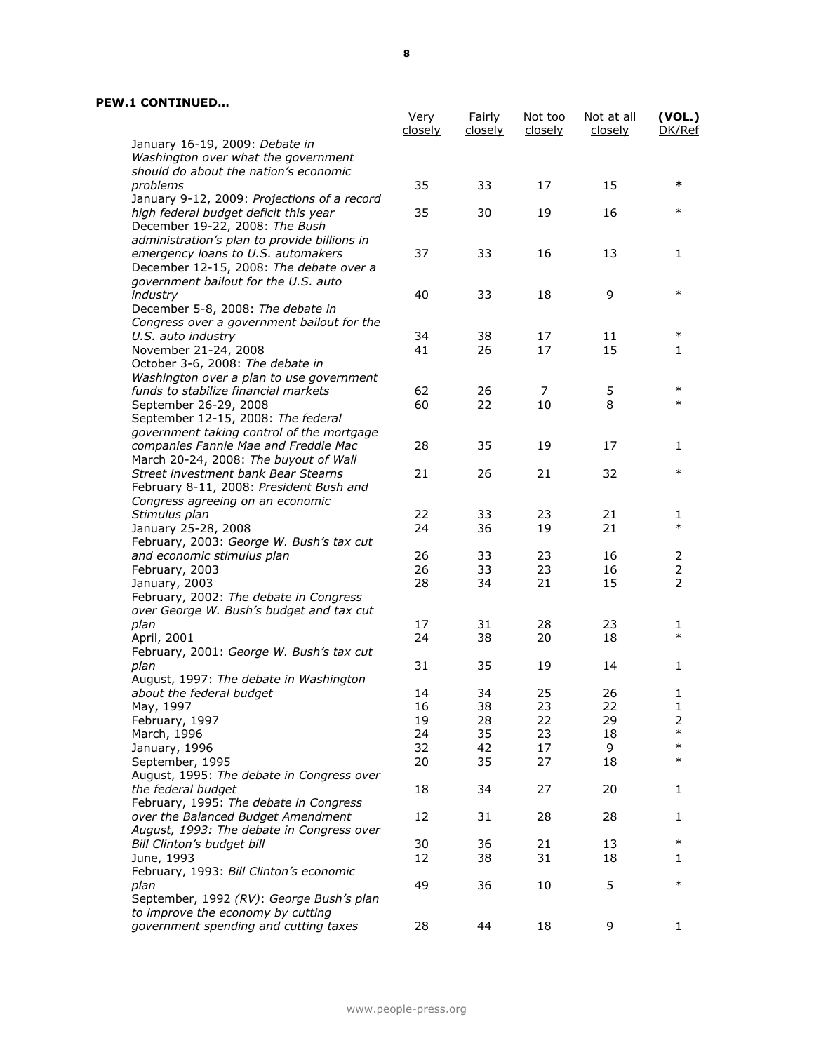|                                              | Very<br><u>closely</u> | Fairly<br><u>closely</u> | Not too<br>closely | Not at all<br><u>closely</u> | (VOL.)<br>DK/Ref |
|----------------------------------------------|------------------------|--------------------------|--------------------|------------------------------|------------------|
| January 16-19, 2009: Debate in               |                        |                          |                    |                              |                  |
| Washington over what the government          |                        |                          |                    |                              |                  |
| should do about the nation's economic        |                        |                          |                    |                              |                  |
| problems                                     | 35                     | 33                       | 17                 | 15                           | *                |
| January 9-12, 2009: Projections of a record  |                        |                          |                    |                              |                  |
| high federal budget deficit this year        | 35                     | 30                       | 19                 | 16                           | $\ast$           |
| December 19-22, 2008: The Bush               |                        |                          |                    |                              |                  |
| administration's plan to provide billions in |                        |                          |                    |                              |                  |
| emergency loans to U.S. automakers           | 37                     | 33                       | 16                 | 13                           | 1                |
| December 12-15, 2008: The debate over a      |                        |                          |                    |                              |                  |
| government bailout for the U.S. auto         |                        |                          |                    |                              |                  |
| industry                                     | 40                     | 33                       | 18                 | 9                            | $\ast$           |
| December 5-8, 2008: The debate in            |                        |                          |                    |                              |                  |
| Congress over a government bailout for the   |                        |                          |                    |                              |                  |
| U.S. auto industry                           | 34                     | 38                       | 17                 | 11                           | $\ast$           |
| November 21-24, 2008                         | 41                     | 26                       | 17                 | 15                           | 1                |
| October 3-6, 2008: The debate in             |                        |                          |                    |                              |                  |
| Washington over a plan to use government     |                        |                          |                    |                              |                  |
| funds to stabilize financial markets         | 62                     | 26                       | 7                  | 5                            | $\ast$           |
| September 26-29, 2008                        | 60                     | 22                       | 10                 | 8                            | $\ast$           |
| September 12-15, 2008: The federal           |                        |                          |                    |                              |                  |
| government taking control of the mortgage    |                        |                          |                    |                              |                  |
| companies Fannie Mae and Freddie Mac         | 28                     | 35                       | 19                 | 17                           | 1                |
| March 20-24, 2008: The buyout of Wall        |                        |                          |                    |                              |                  |
| Street investment bank Bear Stearns          | 21                     | 26                       | 21                 | 32                           | $\ast$           |
| February 8-11, 2008: President Bush and      |                        |                          |                    |                              |                  |
| Congress agreeing on an economic             |                        |                          |                    |                              |                  |
| Stimulus plan                                | 22                     | 33                       | 23                 | 21                           | 1                |
| January 25-28, 2008                          | 24                     | 36                       | 19                 | 21                           | $\ast$           |
| February, 2003: George W. Bush's tax cut     |                        |                          |                    |                              |                  |
| and economic stimulus plan                   | 26                     | 33                       | 23                 | 16                           | 2                |
| February, 2003                               | 26                     | 33                       | 23                 | 16                           | $\overline{2}$   |
| January, 2003                                | 28                     | 34                       | 21                 | 15                           | $\overline{2}$   |
| February, 2002: The debate in Congress       |                        |                          |                    |                              |                  |
| over George W. Bush's budget and tax cut     |                        |                          |                    |                              |                  |
| plan                                         | 17                     | 31                       | 28                 | 23                           | 1<br>$\ast$      |
| April, 2001                                  | 24                     | 38                       | 20                 | 18                           |                  |
| February, 2001: George W. Bush's tax cut     |                        |                          |                    |                              |                  |
| plan                                         | 31                     | 35                       | 19                 | 14                           | 1                |
| August, 1997: The debate in Washington       |                        |                          |                    |                              |                  |
| about the federal budget                     | 14                     | 34                       | 25                 | 26                           | 1                |
| May, 1997                                    | 16                     | 38                       | 23                 | 22                           | 1                |
| February, 1997                               | 19                     | 28                       | 22                 | 29                           | 2                |
| March, 1996                                  | 24                     | 35                       | 23                 | 18                           | $\ast$           |
| January, 1996                                | 32                     | 42                       | 17                 | 9                            | $\ast$           |
| September, 1995                              | 20                     | 35                       | 27                 | 18                           | $\ast$           |
| August, 1995: The debate in Congress over    |                        |                          |                    |                              |                  |
| the federal budget                           | 18                     | 34                       | 27                 | 20                           | 1                |
| February, 1995: The debate in Congress       |                        |                          |                    |                              |                  |
| over the Balanced Budget Amendment           | 12                     | 31                       | 28                 | 28                           | 1                |
| August, 1993: The debate in Congress over    |                        |                          |                    |                              |                  |
| Bill Clinton's budget bill                   | 30                     | 36                       | 21                 | 13                           | $\ast$           |
| June, 1993                                   | 12                     | 38                       | 31                 | 18                           | 1                |
| February, 1993: Bill Clinton's economic      |                        |                          |                    |                              |                  |
| plan                                         | 49                     | 36                       | 10                 | 5                            | $\ast$           |
| September, 1992 (RV): George Bush's plan     |                        |                          |                    |                              |                  |
| to improve the economy by cutting            |                        |                          |                    |                              |                  |
| government spending and cutting taxes        | 28                     | 44                       | 18                 | 9                            | 1                |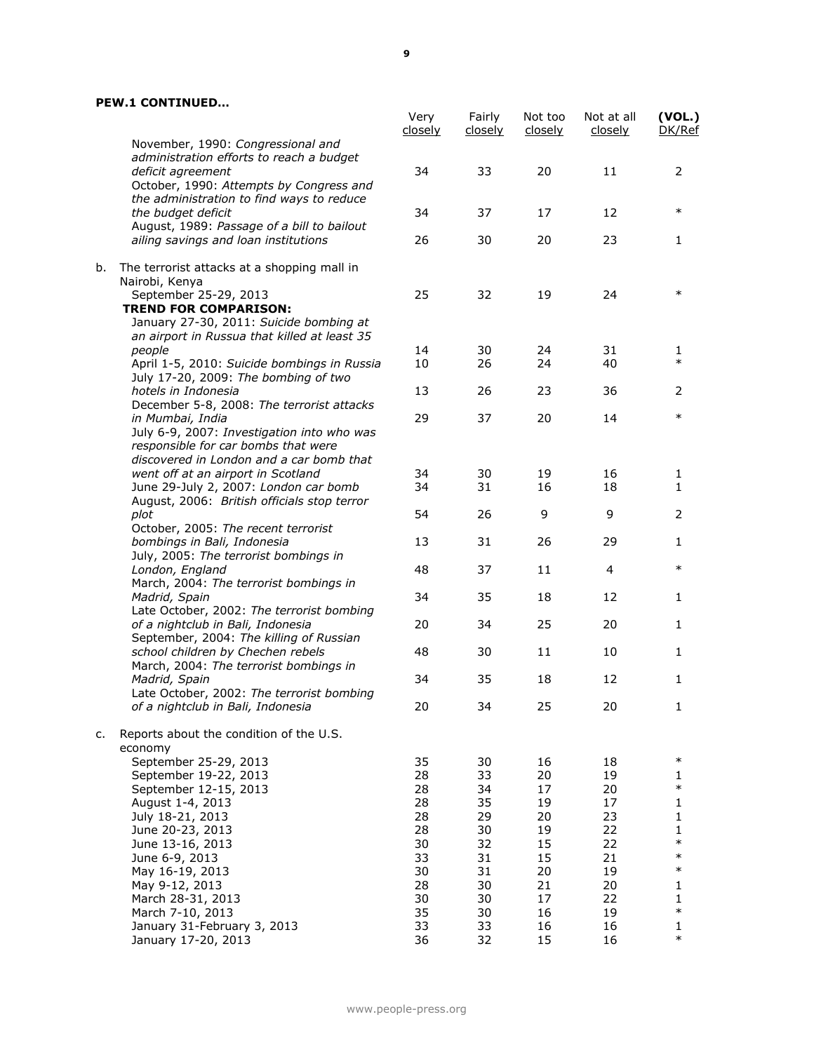|    |                                                                             | Very<br>closely | Fairly<br><u>closely</u> | Not too<br>closely | Not at all<br>closely | (VOL.)<br>DK/Ref |
|----|-----------------------------------------------------------------------------|-----------------|--------------------------|--------------------|-----------------------|------------------|
|    | November, 1990: Congressional and                                           |                 |                          |                    |                       |                  |
|    | administration efforts to reach a budget<br>deficit agreement               | 34              | 33                       | 20                 | 11                    | 2                |
|    | October, 1990: Attempts by Congress and                                     |                 |                          |                    |                       |                  |
|    | the administration to find ways to reduce                                   |                 |                          |                    |                       |                  |
|    | the budget deficit                                                          | 34              | 37                       | 17                 | 12                    | $\ast$           |
|    | August, 1989: Passage of a bill to bailout                                  |                 |                          |                    |                       |                  |
|    | ailing savings and loan institutions                                        | 26              | 30                       | 20                 | 23                    | 1                |
| b. |                                                                             |                 |                          |                    |                       |                  |
|    | The terrorist attacks at a shopping mall in<br>Nairobi, Kenya               |                 |                          |                    |                       |                  |
|    | September 25-29, 2013                                                       | 25              | 32                       | 19                 | 24                    | $\ast$           |
|    | <b>TREND FOR COMPARISON:</b>                                                |                 |                          |                    |                       |                  |
|    | January 27-30, 2011: Suicide bombing at                                     |                 |                          |                    |                       |                  |
|    | an airport in Russua that killed at least 35                                |                 |                          |                    |                       |                  |
|    | people                                                                      | 14              | 30                       | 24                 | 31                    | 1                |
|    | April 1-5, 2010: Suicide bombings in Russia                                 | 10              | 26                       | 24                 | 40                    | $\ast$           |
|    | July 17-20, 2009: The bombing of two                                        |                 |                          |                    |                       |                  |
|    | hotels in Indonesia<br>December 5-8, 2008: The terrorist attacks            | 13              | 26                       | 23                 | 36                    | 2                |
|    | in Mumbai, India                                                            | 29              | 37                       | 20                 | 14                    | $\ast$           |
|    | July 6-9, 2007: Investigation into who was                                  |                 |                          |                    |                       |                  |
|    | responsible for car bombs that were                                         |                 |                          |                    |                       |                  |
|    | discovered in London and a car bomb that                                    |                 |                          |                    |                       |                  |
|    | went off at an airport in Scotland                                          | 34              | 30                       | 19                 | 16                    | 1                |
|    | June 29-July 2, 2007: London car bomb                                       | 34              | 31                       | 16                 | 18                    | $\mathbf{1}$     |
|    | August, 2006: British officials stop terror                                 |                 |                          |                    |                       |                  |
|    | plot                                                                        | 54              | 26                       | 9                  | 9                     | 2                |
|    | October, 2005: The recent terrorist<br>bombings in Bali, Indonesia          | 13              | 31                       | 26                 | 29                    | 1                |
|    | July, 2005: The terrorist bombings in                                       |                 |                          |                    |                       |                  |
|    | London, England                                                             | 48              | 37                       | 11                 | 4                     | $\ast$           |
|    | March, 2004: The terrorist bombings in                                      |                 |                          |                    |                       |                  |
|    | Madrid, Spain                                                               | 34              | 35                       | 18                 | 12                    | 1                |
|    | Late October, 2002: The terrorist bombing                                   |                 |                          |                    |                       |                  |
|    | of a nightclub in Bali, Indonesia                                           | 20              | 34                       | 25                 | 20                    | 1                |
|    | September, 2004: The killing of Russian                                     |                 |                          |                    |                       |                  |
|    | school children by Chechen rebels<br>March, 2004: The terrorist bombings in | 48              | 30                       | 11                 | 10                    | 1                |
|    | Madrid, Spain                                                               | 34              | 35                       | 18                 | 12                    | 1                |
|    | Late October, 2002: The terrorist bombing                                   |                 |                          |                    |                       |                  |
|    | of a nightclub in Bali, Indonesia                                           | 20              | 34                       | 25                 | 20                    | 1.               |
|    |                                                                             |                 |                          |                    |                       |                  |
| c. | Reports about the condition of the U.S.                                     |                 |                          |                    |                       |                  |
|    | economy                                                                     | 35              |                          | 16                 |                       | $\ast$           |
|    | September 25-29, 2013<br>September 19-22, 2013                              | 28              | 30<br>33                 | 20                 | 18<br>19              | 1                |
|    | September 12-15, 2013                                                       | 28              | 34                       | 17                 | 20                    | $\ast$           |
|    | August 1-4, 2013                                                            | 28              | 35                       | 19                 | 17                    | 1                |
|    | July 18-21, 2013                                                            | 28              | 29                       | 20                 | 23                    | 1                |
|    | June 20-23, 2013                                                            | 28              | 30                       | 19                 | 22                    | 1                |
|    | June 13-16, 2013                                                            | 30              | 32                       | 15                 | 22                    | $\ast$           |
|    | June 6-9, 2013                                                              | 33              | 31                       | 15                 | 21                    | $\ast$           |
|    | May 16-19, 2013                                                             | 30              | 31                       | 20                 | 19                    | $\ast$           |
|    | May 9-12, 2013                                                              | 28<br>30        | 30<br>30                 | 21<br>17           | 20<br>22              | 1                |
|    | March 28-31, 2013<br>March 7-10, 2013                                       | 35              | 30                       | 16                 | 19                    | 1<br>$\ast$      |
|    | January 31-February 3, 2013                                                 | 33              | 33                       | 16                 | 16                    | 1                |
|    | January 17-20, 2013                                                         | 36              | 32                       | 15                 | 16                    | $\ast$           |
|    |                                                                             |                 |                          |                    |                       |                  |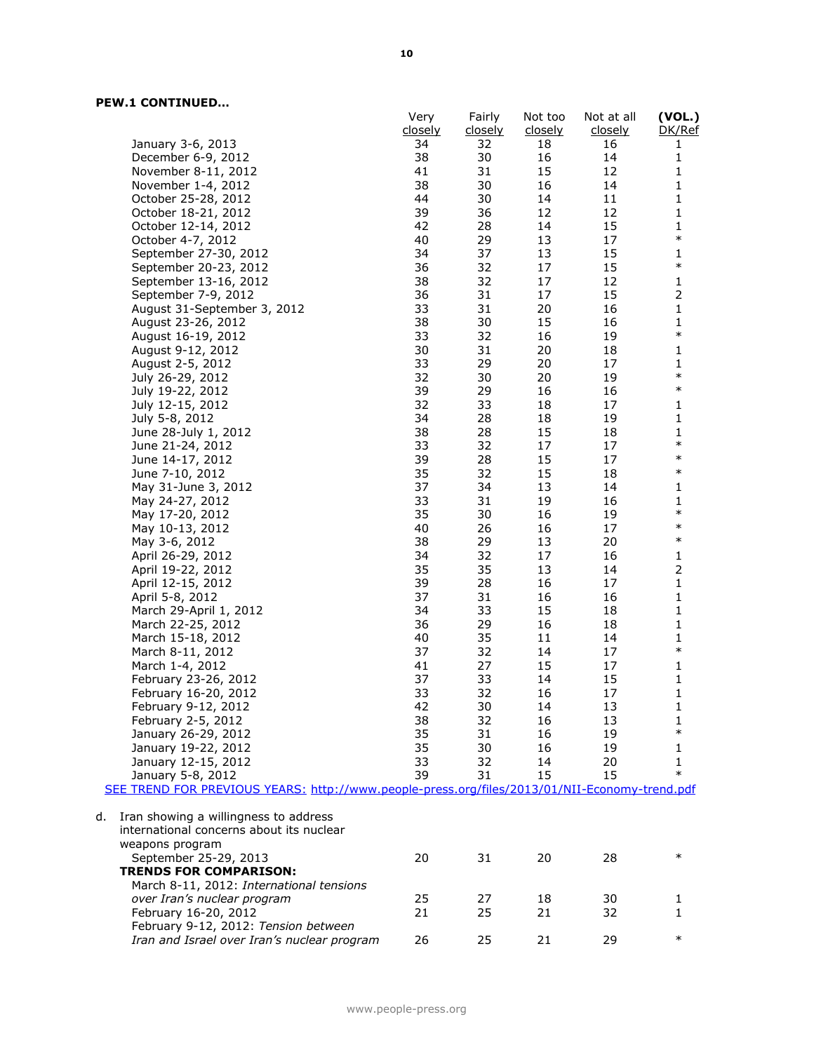|    |                                                                                               | Very    | Fairly  | Not too        | Not at all | (VOL.)         |
|----|-----------------------------------------------------------------------------------------------|---------|---------|----------------|------------|----------------|
|    |                                                                                               | closely | closely | <u>closely</u> | closely    | DK/Ref         |
|    | January 3-6, 2013                                                                             | 34      | 32      | 18             | 16         | 1              |
|    | December 6-9, 2012                                                                            | 38      | 30      | 16             | 14         | $\mathbf{1}$   |
|    | November 8-11, 2012                                                                           | 41      | 31      | 15             | 12         | $\mathbf 1$    |
|    | November 1-4, 2012                                                                            | 38      | 30      | 16             | 14         | $\mathbf{1}$   |
|    | October 25-28, 2012                                                                           | 44      | 30      | 14             | 11         | $\mathbf 1$    |
|    | October 18-21, 2012                                                                           | 39      | 36      | 12             | 12         | $\mathbf{1}$   |
|    | October 12-14, 2012                                                                           | 42      | 28      | 14             | 15         | 1              |
|    | October 4-7, 2012                                                                             | 40      | 29      | 13             | 17         | $\ast$         |
|    | September 27-30, 2012                                                                         | 34      | 37      | 13             | 15         | $\mathbf{1}$   |
|    | September 20-23, 2012                                                                         | 36      | 32      | 17             | 15         | $\ast$         |
|    | September 13-16, 2012                                                                         | 38      | 32      | 17             | 12         | $\mathbf 1$    |
|    | September 7-9, 2012                                                                           | 36      | 31      | 17             | 15         | $\overline{2}$ |
|    | August 31-September 3, 2012                                                                   | 33      | 31      | 20             | 16         | $\mathbf 1$    |
|    | August 23-26, 2012                                                                            | 38      | 30      | 15             | 16         | $\mathbf 1$    |
|    | August 16-19, 2012                                                                            | 33      | 32      | 16             | 19         | $\ast$         |
|    | August 9-12, 2012                                                                             | 30      | 31      | 20             | 18         | $\mathbf 1$    |
|    | August 2-5, 2012                                                                              | 33      | 29      | 20             | 17         | 1              |
|    | July 26-29, 2012                                                                              | 32      | 30      | 20             | 19         | $\ast$         |
|    | July 19-22, 2012                                                                              | 39      | 29      | 16             | 16         | $\ast$         |
|    | July 12-15, 2012                                                                              | 32      | 33      | 18             | 17         | $\mathbf 1$    |
|    | July 5-8, 2012                                                                                | 34      | 28      | 18             | 19         | $\mathbf 1$    |
|    | June 28-July 1, 2012                                                                          | 38      | 28      | 15             | 18         | 1              |
|    | June 21-24, 2012                                                                              | 33      | 32      | 17             | 17         | $\ast$         |
|    | June 14-17, 2012                                                                              | 39      | 28      | 15             | 17         | $\ast$         |
|    | June 7-10, 2012                                                                               | 35      | 32      | 15             | 18         | $\ast$         |
|    | May 31-June 3, 2012                                                                           | 37      | 34      | 13             | 14         | $\mathbf 1$    |
|    | May 24-27, 2012                                                                               | 33      | 31      | 19             | 16         | 1              |
|    | May 17-20, 2012                                                                               | 35      | 30      | 16             | 19         | $\ast$         |
|    | May 10-13, 2012                                                                               | 40      | 26      | 16             | 17         | $\ast$         |
|    | May 3-6, 2012                                                                                 | 38      | 29      | 13             | 20         | $\ast$         |
|    | April 26-29, 2012                                                                             | 34      | 32      | 17             | 16         | $\mathbf 1$    |
|    | April 19-22, 2012                                                                             | 35      | 35      | 13             | 14         | $\mathbf 2$    |
|    | April 12-15, 2012                                                                             | 39      | 28      | 16             | 17         | $\mathbf 1$    |
|    | April 5-8, 2012                                                                               | 37      | 31      | 16             | 16         | $\mathbf 1$    |
|    | March 29-April 1, 2012                                                                        | 34      | 33      | 15             | 18         | 1              |
|    | March 22-25, 2012                                                                             | 36      | 29      | 16             | 18         | $\mathbf 1$    |
|    | March 15-18, 2012                                                                             | 40      | 35      | 11             | 14         | $\mathbf{1}$   |
|    | March 8-11, 2012                                                                              | 37      | 32      | 14             | 17         | $\ast$         |
|    | March 1-4, 2012                                                                               | 41      | 27      | 15             | 17         | $\mathbf 1$    |
|    | February 23-26, 2012                                                                          | 37      | 33      | 14             | 15         | $\mathbf 1$    |
|    | February 16-20, 2012                                                                          | 33      | 32      | 16             | 17         | $\mathbf 1$    |
|    | February 9-12, 2012                                                                           | 42      | 30      | 14             | 13         | 1              |
|    | February 2-5, 2012                                                                            | 38      | 32      | 16             | 13         | 1              |
|    | January 26-29, 2012                                                                           | 35      | 31      | 16             | 19         | $\ast$         |
|    | January 19-22, 2012                                                                           | 35      | 30      | 16             | 19         | 1              |
|    | January 12-15, 2012                                                                           | 33      | 32      | 14             | 20         | 1              |
|    | January 5-8, 2012                                                                             | 39      | 31      | 15             | 15         | $\ast$         |
|    | SEE TREND FOR PREVIOUS YEARS: http://www.people-press.org/files/2013/01/NII-Economy-trend.pdf |         |         |                |            |                |
|    |                                                                                               |         |         |                |            |                |
| d. | Iran showing a willingness to address                                                         |         |         |                |            |                |
|    | international concerns about its nuclear                                                      |         |         |                |            |                |
|    | weapons program                                                                               |         |         |                |            |                |
|    | September 25-29, 2013                                                                         | 20      | 31      | 20             | 28         | $\ast$         |
|    | <b>TRENDS FOR COMPARISON:</b>                                                                 |         |         |                |            |                |
|    | March 8-11, 2012: International tensions                                                      |         |         |                |            |                |
|    | over Iran's nuclear program                                                                   | 25      | 27      | 18             | 30         | 1              |
|    | February 16-20, 2012                                                                          | 21      | 25      | 21             | 32         | 1              |
|    | February 9-12, 2012: Tension between                                                          |         |         |                |            |                |
|    | Iran and Israel over Iran's nuclear program                                                   | 26      | 25      | 21             | 29         | $\ast$         |
|    |                                                                                               |         |         |                |            |                |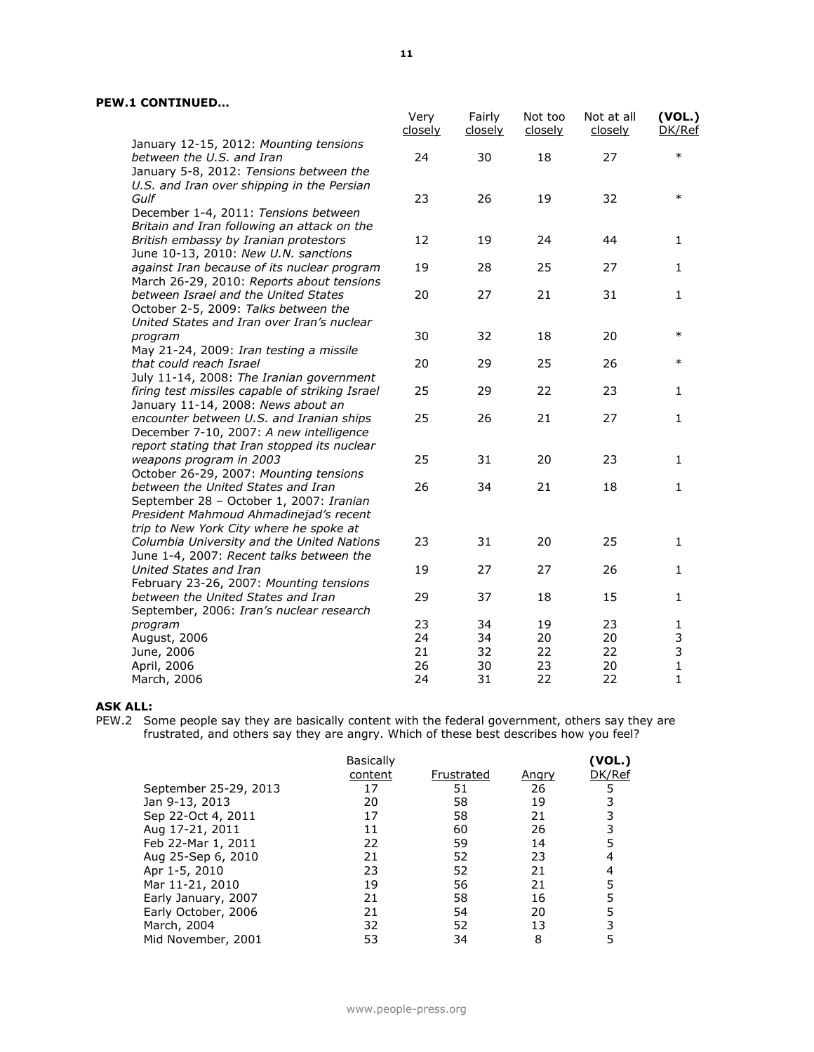|                                                                                                                                   | Very<br><u>closely</u> | Fairly<br><u>closely</u> | Not too<br>closely | Not at all<br>closely | (VOL.)<br>DK/Ref  |
|-----------------------------------------------------------------------------------------------------------------------------------|------------------------|--------------------------|--------------------|-----------------------|-------------------|
| January 12-15, 2012: Mounting tensions<br>between the U.S. and Iran<br>January 5-8, 2012: Tensions between the                    | 24                     | 30                       | 18                 | 27                    | $\ast$            |
| U.S. and Iran over shipping in the Persian<br>Gulf                                                                                | 23                     | 26                       | 19                 | 32                    | $\ast$            |
| December 1-4, 2011: Tensions between<br>Britain and Iran following an attack on the<br>British embassy by Iranian protestors      | 12                     | 19                       | 24                 | 44                    | $\mathbf{1}$      |
| June 10-13, 2010: New U.N. sanctions<br>against Iran because of its nuclear program                                               | 19                     | 28                       | 25                 | 27                    | $\mathbf{1}$      |
| March 26-29, 2010: Reports about tensions<br>between Israel and the United States                                                 | 20                     | 27                       | 21                 | 31                    | $\mathbf{1}$      |
| October 2-5, 2009: Talks between the<br>United States and Iran over Iran's nuclear                                                |                        |                          |                    |                       |                   |
| program<br>May 21-24, 2009: Iran testing a missile                                                                                | 30                     | 32                       | 18                 | 20                    | $\ast$            |
| that could reach Israel<br>July 11-14, 2008: The Iranian government                                                               | 20                     | 29                       | 25                 | 26                    | $\ast$            |
| firing test missiles capable of striking Israel<br>January 11-14, 2008: News about an                                             | 25                     | 29                       | 22                 | 23                    | 1                 |
| encounter between U.S. and Iranian ships<br>December 7-10, 2007: A new intelligence                                               | 25                     | 26                       | 21                 | 27                    | $\mathbf{1}$      |
| report stating that Iran stopped its nuclear<br>weapons program in 2003<br>October 26-29, 2007: Mounting tensions                 | 25                     | 31                       | 20                 | 23                    | $\mathbf{1}$      |
| between the United States and Iran<br>September 28 - October 1, 2007: Iranian<br>President Mahmoud Ahmadinejad's recent           | 26                     | 34                       | 21                 | 18                    | $\mathbf{1}$      |
| trip to New York City where he spoke at<br>Columbia University and the United Nations<br>June 1-4, 2007: Recent talks between the | 23                     | 31                       | 20                 | 25                    | $\mathbf{1}$      |
| United States and Iran<br>February 23-26, 2007: Mounting tensions                                                                 | 19                     | 27                       | 27                 | 26                    | $\mathbf{1}$      |
| between the United States and Iran<br>September, 2006: Iran's nuclear research                                                    | 29                     | 37                       | 18                 | 15                    | $\mathbf{1}$      |
| program<br>August, 2006<br>June, 2006                                                                                             | 23<br>24<br>21         | 34<br>34<br>32           | 19<br>20<br>22     | 23<br>20<br>22        | 1<br>3<br>3       |
| April, 2006<br>March, 2006                                                                                                        | 26<br>24               | 30<br>31                 | 23<br>22           | 20<br>22              | $\mathbf{1}$<br>1 |

#### **ASK ALL:**

PEW.2 Some people say they are basically content with the federal government, others say they are frustrated, and others say they are angry. Which of these best describes how you feel?

|                       | <b>Basically</b> |            |              | (VOL.) |
|-----------------------|------------------|------------|--------------|--------|
|                       | content          | Frustrated | <u>Angry</u> | DK/Ref |
| September 25-29, 2013 | 17               | 51         | 26           |        |
| Jan 9-13, 2013        | 20               | 58         | 19           |        |
| Sep 22-Oct 4, 2011    | 17               | 58         | 21           |        |
| Aug 17-21, 2011       | 11               | 60         | 26           |        |
| Feb 22-Mar 1, 2011    | 22               | 59         | 14           |        |
| Aug 25-Sep 6, 2010    | 21               | 52         | 23           |        |
| Apr 1-5, 2010         | 23               | 52         | 21           |        |
| Mar 11-21, 2010       | 19               | 56         | 21           |        |
| Early January, 2007   | 21               | 58         | 16           |        |
| Early October, 2006   | 21               | 54         | 20           |        |
| March, 2004           | 32               | 52         | 13           |        |
| Mid November, 2001    | 53               | 34         | 8            |        |